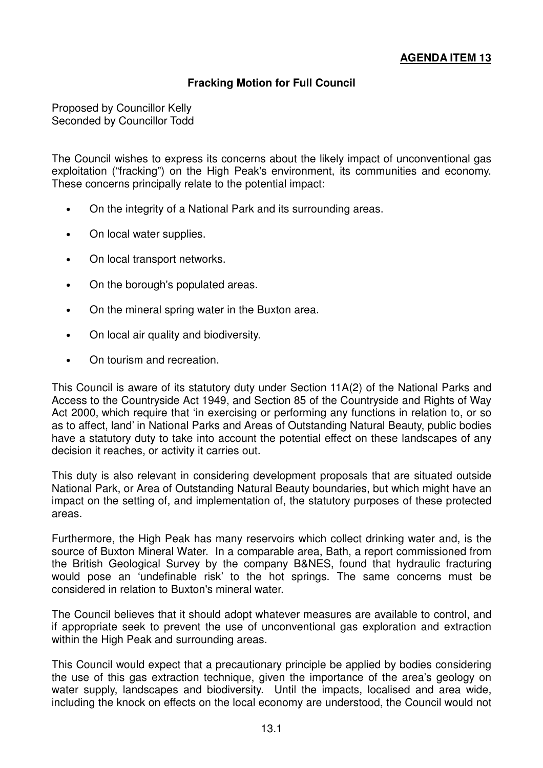## **Fracking Motion for Full Council**

Proposed by Councillor Kelly Seconded by Councillor Todd

The Council wishes to express its concerns about the likely impact of unconventional gas exploitation ("fracking") on the High Peak's environment, its communities and economy. These concerns principally relate to the potential impact:

- On the integrity of a National Park and its surrounding areas.
- On local water supplies.
- On local transport networks.
- On the borough's populated areas.
- On the mineral spring water in the Buxton area.
- On local air quality and biodiversity.
- On tourism and recreation.

This Council is aware of its statutory duty under Section 11A(2) of the National Parks and Access to the Countryside Act 1949, and Section 85 of the Countryside and Rights of Way Act 2000, which require that 'in exercising or performing any functions in relation to, or so as to affect, land' in National Parks and Areas of Outstanding Natural Beauty, public bodies have a statutory duty to take into account the potential effect on these landscapes of any decision it reaches, or activity it carries out.

This duty is also relevant in considering development proposals that are situated outside National Park, or Area of Outstanding Natural Beauty boundaries, but which might have an impact on the setting of, and implementation of, the statutory purposes of these protected areas.

Furthermore, the High Peak has many reservoirs which collect drinking water and, is the source of Buxton Mineral Water. In a comparable area, Bath, a report commissioned from the British Geological Survey by the company B&NES, found that hydraulic fracturing would pose an 'undefinable risk' to the hot springs. The same concerns must be considered in relation to Buxton's mineral water.

The Council believes that it should adopt whatever measures are available to control, and if appropriate seek to prevent the use of unconventional gas exploration and extraction within the High Peak and surrounding areas.

This Council would expect that a precautionary principle be applied by bodies considering the use of this gas extraction technique, given the importance of the area's geology on water supply, landscapes and biodiversity. Until the impacts, localised and area wide, including the knock on effects on the local economy are understood, the Council would not